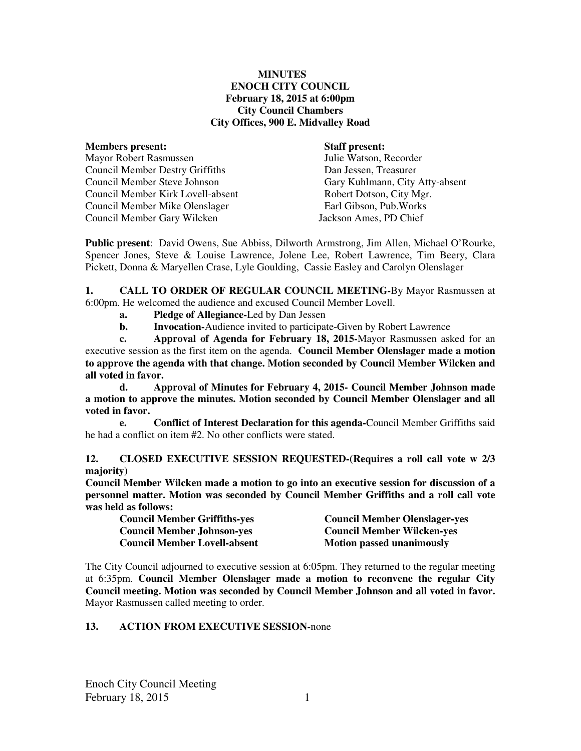#### **MINUTES ENOCH CITY COUNCIL February 18, 2015 at 6:00pm City Council Chambers City Offices, 900 E. Midvalley Road**

| <b>Members present:</b>                | <b>Staff present:</b>           |
|----------------------------------------|---------------------------------|
| <b>Mayor Robert Rasmussen</b>          | Julie Watson, Recorder          |
| <b>Council Member Destry Griffiths</b> | Dan Jessen, Treasurer           |
| Council Member Steve Johnson           | Gary Kuhlmann, City Atty-absent |
| Council Member Kirk Lovell-absent      | Robert Dotson, City Mgr.        |
| Council Member Mike Olenslager         | Earl Gibson, Pub. Works         |
| Council Member Gary Wilcken            | Jackson Ames, PD Chief          |
|                                        |                                 |

**Public present**: David Owens, Sue Abbiss, Dilworth Armstrong, Jim Allen, Michael O'Rourke, Spencer Jones, Steve & Louise Lawrence, Jolene Lee, Robert Lawrence, Tim Beery, Clara Pickett, Donna & Maryellen Crase, Lyle Goulding, Cassie Easley and Carolyn Olenslager

**1. CALL TO ORDER OF REGULAR COUNCIL MEETING-**By Mayor Rasmussen at 6:00pm. He welcomed the audience and excused Council Member Lovell.

- **a. Pledge of Allegiance-**Led by Dan Jessen
- **b.** Invocation-Audience invited to participate-Given by Robert Lawrence

 **c. Approval of Agenda for February 18, 2015-**Mayor Rasmussen asked for an executive session as the first item on the agenda. **Council Member Olenslager made a motion to approve the agenda with that change. Motion seconded by Council Member Wilcken and all voted in favor.** 

 **d. Approval of Minutes for February 4, 2015- Council Member Johnson made a motion to approve the minutes. Motion seconded by Council Member Olenslager and all voted in favor.** 

 **e. Conflict of Interest Declaration for this agenda-**Council Member Griffiths said he had a conflict on item #2. No other conflicts were stated.

**12. CLOSED EXECUTIVE SESSION REQUESTED-(Requires a roll call vote w 2/3 majority)** 

**Council Member Wilcken made a motion to go into an executive session for discussion of a personnel matter. Motion was seconded by Council Member Griffiths and a roll call vote was held as follows:** 

| <b>Council Member Griffiths-yes</b> | <b>Council Member Olenslager-yes</b> |
|-------------------------------------|--------------------------------------|
| <b>Council Member Johnson-yes</b>   | <b>Council Member Wilcken-yes</b>    |
| <b>Council Member Lovell-absent</b> | <b>Motion passed unanimously</b>     |

The City Council adjourned to executive session at 6:05pm. They returned to the regular meeting at 6:35pm. **Council Member Olenslager made a motion to reconvene the regular City Council meeting. Motion was seconded by Council Member Johnson and all voted in favor.**  Mayor Rasmussen called meeting to order.

# **13. ACTION FROM EXECUTIVE SESSION-**none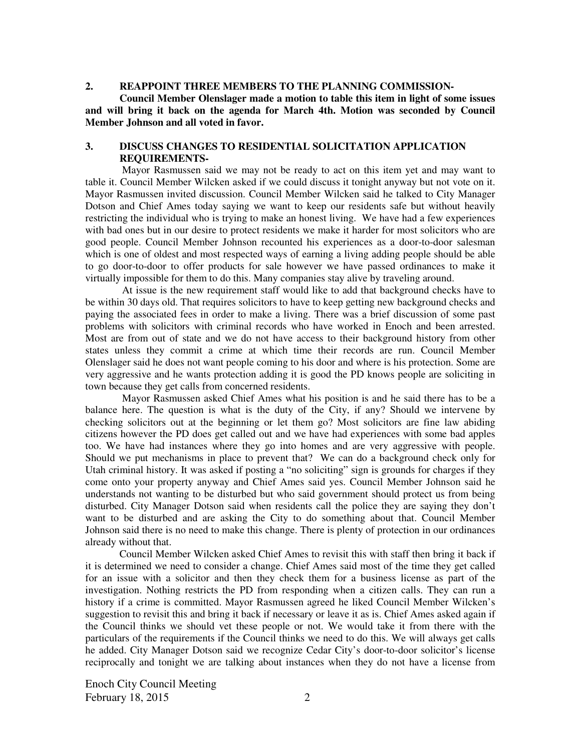#### **2. REAPPOINT THREE MEMBERS TO THE PLANNING COMMISSION-**

**Council Member Olenslager made a motion to table this item in light of some issues and will bring it back on the agenda for March 4th. Motion was seconded by Council Member Johnson and all voted in favor.** 

#### **3. DISCUSS CHANGES TO RESIDENTIAL SOLICITATION APPLICATION REQUIREMENTS-**

 Mayor Rasmussen said we may not be ready to act on this item yet and may want to table it. Council Member Wilcken asked if we could discuss it tonight anyway but not vote on it. Mayor Rasmussen invited discussion. Council Member Wilcken said he talked to City Manager Dotson and Chief Ames today saying we want to keep our residents safe but without heavily restricting the individual who is trying to make an honest living.We have had a few experiences with bad ones but in our desire to protect residents we make it harder for most solicitors who are good people. Council Member Johnson recounted his experiences as a door-to-door salesman which is one of oldest and most respected ways of earning a living adding people should be able to go door-to-door to offer products for sale however we have passed ordinances to make it virtually impossible for them to do this. Many companies stay alive by traveling around.

 At issue is the new requirement staff would like to add that background checks have to be within 30 days old. That requires solicitors to have to keep getting new background checks and paying the associated fees in order to make a living. There was a brief discussion of some past problems with solicitors with criminal records who have worked in Enoch and been arrested. Most are from out of state and we do not have access to their background history from other states unless they commit a crime at which time their records are run. Council Member Olenslager said he does not want people coming to his door and where is his protection. Some are very aggressive and he wants protection adding it is good the PD knows people are soliciting in town because they get calls from concerned residents.

 Mayor Rasmussen asked Chief Ames what his position is and he said there has to be a balance here. The question is what is the duty of the City, if any? Should we intervene by checking solicitors out at the beginning or let them go? Most solicitors are fine law abiding citizens however the PD does get called out and we have had experiences with some bad apples too. We have had instances where they go into homes and are very aggressive with people. Should we put mechanisms in place to prevent that? We can do a background check only for Utah criminal history. It was asked if posting a "no soliciting" sign is grounds for charges if they come onto your property anyway and Chief Ames said yes. Council Member Johnson said he understands not wanting to be disturbed but who said government should protect us from being disturbed. City Manager Dotson said when residents call the police they are saying they don't want to be disturbed and are asking the City to do something about that. Council Member Johnson said there is no need to make this change. There is plenty of protection in our ordinances already without that.

Council Member Wilcken asked Chief Ames to revisit this with staff then bring it back if it is determined we need to consider a change. Chief Ames said most of the time they get called for an issue with a solicitor and then they check them for a business license as part of the investigation. Nothing restricts the PD from responding when a citizen calls. They can run a history if a crime is committed. Mayor Rasmussen agreed he liked Council Member Wilcken's suggestion to revisit this and bring it back if necessary or leave it as is. Chief Ames asked again if the Council thinks we should vet these people or not. We would take it from there with the particulars of the requirements if the Council thinks we need to do this. We will always get calls he added. City Manager Dotson said we recognize Cedar City's door-to-door solicitor's license reciprocally and tonight we are talking about instances when they do not have a license from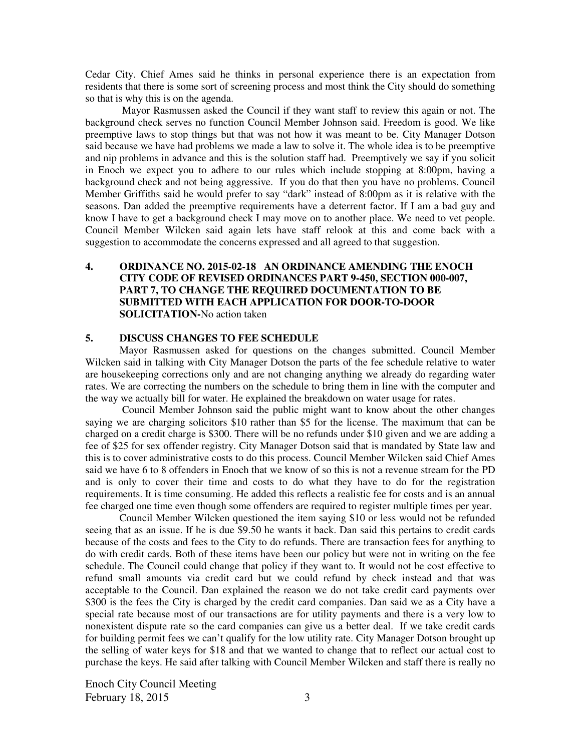Cedar City. Chief Ames said he thinks in personal experience there is an expectation from residents that there is some sort of screening process and most think the City should do something so that is why this is on the agenda.

 Mayor Rasmussen asked the Council if they want staff to review this again or not. The background check serves no function Council Member Johnson said. Freedom is good. We like preemptive laws to stop things but that was not how it was meant to be. City Manager Dotson said because we have had problems we made a law to solve it. The whole idea is to be preemptive and nip problems in advance and this is the solution staff had. Preemptively we say if you solicit in Enoch we expect you to adhere to our rules which include stopping at 8:00pm, having a background check and not being aggressive. If you do that then you have no problems. Council Member Griffiths said he would prefer to say "dark" instead of 8:00pm as it is relative with the seasons. Dan added the preemptive requirements have a deterrent factor. If I am a bad guy and know I have to get a background check I may move on to another place. We need to vet people. Council Member Wilcken said again lets have staff relook at this and come back with a suggestion to accommodate the concerns expressed and all agreed to that suggestion.

### **4. ORDINANCE NO. 2015-02-18 AN ORDINANCE AMENDING THE ENOCH CITY CODE OF REVISED ORDINANCES PART 9-450, SECTION 000-007, PART 7, TO CHANGE THE REQUIRED DOCUMENTATION TO BE SUBMITTED WITH EACH APPLICATION FOR DOOR-TO-DOOR SOLICITATION-**No action taken

#### **5. DISCUSS CHANGES TO FEE SCHEDULE**

Mayor Rasmussen asked for questions on the changes submitted. Council Member Wilcken said in talking with City Manager Dotson the parts of the fee schedule relative to water are housekeeping corrections only and are not changing anything we already do regarding water rates. We are correcting the numbers on the schedule to bring them in line with the computer and the way we actually bill for water. He explained the breakdown on water usage for rates.

 Council Member Johnson said the public might want to know about the other changes saying we are charging solicitors \$10 rather than \$5 for the license. The maximum that can be charged on a credit charge is \$300. There will be no refunds under \$10 given and we are adding a fee of \$25 for sex offender registry. City Manager Dotson said that is mandated by State law and this is to cover administrative costs to do this process. Council Member Wilcken said Chief Ames said we have 6 to 8 offenders in Enoch that we know of so this is not a revenue stream for the PD and is only to cover their time and costs to do what they have to do for the registration requirements. It is time consuming. He added this reflects a realistic fee for costs and is an annual fee charged one time even though some offenders are required to register multiple times per year.

Council Member Wilcken questioned the item saying \$10 or less would not be refunded seeing that as an issue. If he is due \$9.50 he wants it back. Dan said this pertains to credit cards because of the costs and fees to the City to do refunds. There are transaction fees for anything to do with credit cards. Both of these items have been our policy but were not in writing on the fee schedule. The Council could change that policy if they want to. It would not be cost effective to refund small amounts via credit card but we could refund by check instead and that was acceptable to the Council. Dan explained the reason we do not take credit card payments over \$300 is the fees the City is charged by the credit card companies. Dan said we as a City have a special rate because most of our transactions are for utility payments and there is a very low to nonexistent dispute rate so the card companies can give us a better deal. If we take credit cards for building permit fees we can't qualify for the low utility rate. City Manager Dotson brought up the selling of water keys for \$18 and that we wanted to change that to reflect our actual cost to purchase the keys. He said after talking with Council Member Wilcken and staff there is really no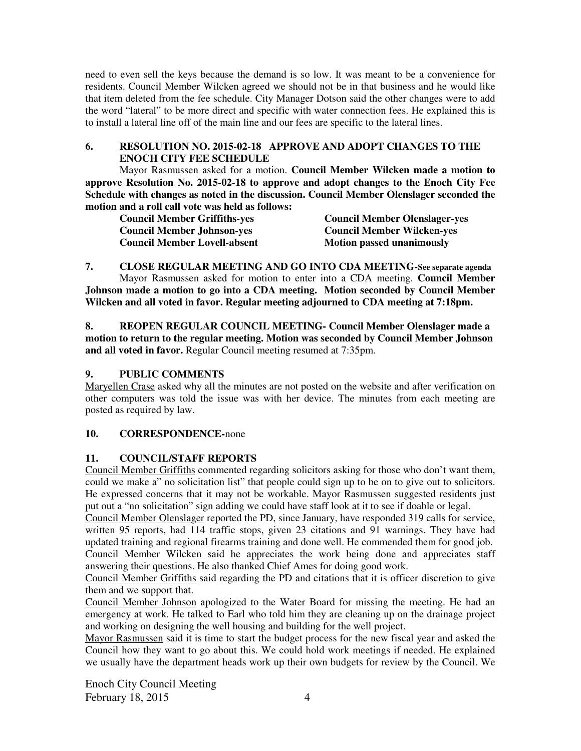need to even sell the keys because the demand is so low. It was meant to be a convenience for residents. Council Member Wilcken agreed we should not be in that business and he would like that item deleted from the fee schedule. City Manager Dotson said the other changes were to add the word "lateral" to be more direct and specific with water connection fees. He explained this is to install a lateral line off of the main line and our fees are specific to the lateral lines.

# **6. RESOLUTION NO. 2015-02-18 APPROVE AND ADOPT CHANGES TO THE ENOCH CITY FEE SCHEDULE**

Mayor Rasmussen asked for a motion. **Council Member Wilcken made a motion to approve Resolution No. 2015-02-18 to approve and adopt changes to the Enoch City Fee Schedule with changes as noted in the discussion. Council Member Olenslager seconded the motion and a roll call vote was held as follows:** 

| <b>Council Member Griffiths-yes</b> | <b>Council Member Olenslager-yes</b> |
|-------------------------------------|--------------------------------------|
| <b>Council Member Johnson-yes</b>   | <b>Council Member Wilcken-yes</b>    |
| <b>Council Member Lovell-absent</b> | <b>Motion passed unanimously</b>     |

**7. CLOSE REGULAR MEETING AND GO INTO CDA MEETING-See separate agenda**  Mayor Rasmussen asked for motion to enter into a CDA meeting. **Council Member Johnson made a motion to go into a CDA meeting. Motion seconded by Council Member Wilcken and all voted in favor. Regular meeting adjourned to CDA meeting at 7:18pm.** 

**8. REOPEN REGULAR COUNCIL MEETING- Council Member Olenslager made a motion to return to the regular meeting. Motion was seconded by Council Member Johnson and all voted in favor.** Regular Council meeting resumed at 7:35pm.

## **9. PUBLIC COMMENTS**

Maryellen Crase asked why all the minutes are not posted on the website and after verification on other computers was told the issue was with her device. The minutes from each meeting are posted as required by law.

### **10. CORRESPONDENCE-**none

# **11. COUNCIL/STAFF REPORTS**

Council Member Griffiths commented regarding solicitors asking for those who don't want them, could we make a" no solicitation list" that people could sign up to be on to give out to solicitors. He expressed concerns that it may not be workable. Mayor Rasmussen suggested residents just put out a "no solicitation" sign adding we could have staff look at it to see if doable or legal.

Council Member Olenslager reported the PD, since January, have responded 319 calls for service, written 95 reports, had 114 traffic stops, given 23 citations and 91 warnings. They have had updated training and regional firearms training and done well. He commended them for good job. Council Member Wilcken said he appreciates the work being done and appreciates staff answering their questions. He also thanked Chief Ames for doing good work.

Council Member Griffiths said regarding the PD and citations that it is officer discretion to give them and we support that.

Council Member Johnson apologized to the Water Board for missing the meeting. He had an emergency at work. He talked to Earl who told him they are cleaning up on the drainage project and working on designing the well housing and building for the well project.

Mayor Rasmussen said it is time to start the budget process for the new fiscal year and asked the Council how they want to go about this. We could hold work meetings if needed. He explained we usually have the department heads work up their own budgets for review by the Council. We